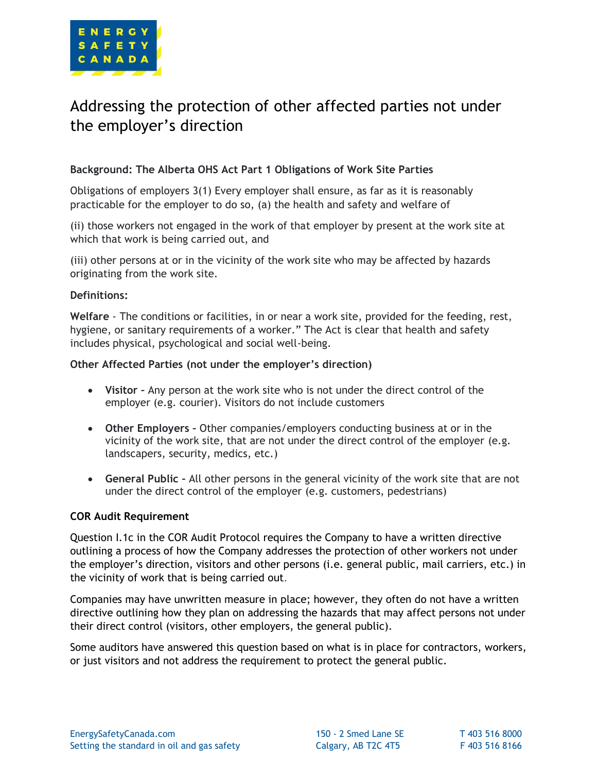

# Addressing the protection of other affected parties not under the employer's direction

# **Background: The Alberta OHS Act Part 1 Obligations of Work Site Parties**

Obligations of employers 3(1) Every employer shall ensure, as far as it is reasonably practicable for the employer to do so, (a) the health and safety and welfare of

(ii) those workers not engaged in the work of that employer by present at the work site at which that work is being carried out, and

(iii) other persons at or in the vicinity of the work site who may be affected by hazards originating from the work site.

## **Definitions:**

**Welfare** - The conditions or facilities, in or near a work site, provided for the feeding, rest, hygiene, or sanitary requirements of a worker." The Act is clear that health and safety includes physical, psychological and social well-being.

## **Other Affected Parties (not under the employer's direction)**

- **Visitor –** Any person at the work site who is not under the direct control of the employer (e.g. courier). Visitors do not include customers
- **Other Employers –** Other companies/employers conducting business at or in the vicinity of the work site, that are not under the direct control of the employer (e.g. landscapers, security, medics, etc.)
- **General Public –** All other persons in the general vicinity of the work site that are not under the direct control of the employer (e.g. customers, pedestrians)

### **COR Audit Requirement**

Question I.1c in the COR Audit Protocol requires the Company to have a written directive outlining a process of how the Company addresses the protection of other workers not under the employer's direction, visitors and other persons (i.e. general public, mail carriers, etc.) in the vicinity of work that is being carried out.

Companies may have unwritten measure in place; however, they often do not have a written directive outlining how they plan on addressing the hazards that may affect persons not under their direct control (visitors, other employers, the general public).

Some auditors have answered this question based on what is in place for contractors, workers, or just visitors and not address the requirement to protect the general public.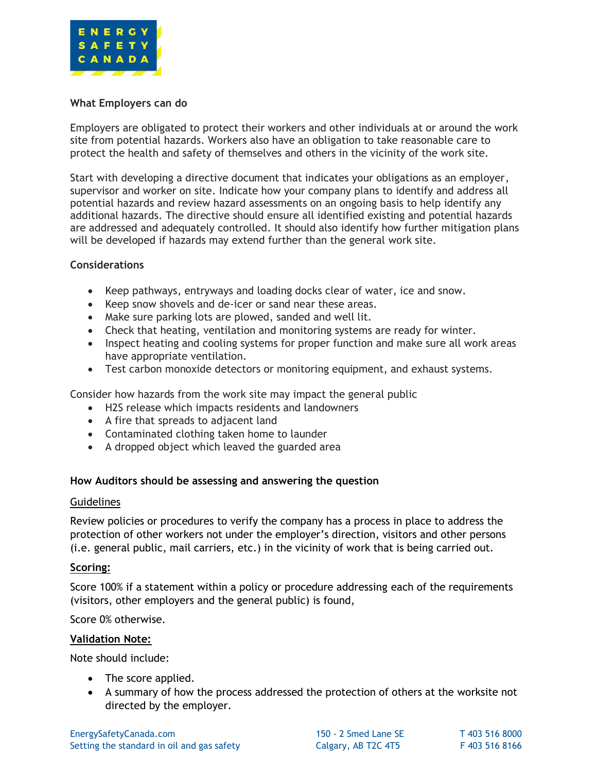

## **What Employers can do**

Employers are obligated to protect their workers and other individuals at or around the work site from potential hazards. Workers also have an obligation to take reasonable care to protect the health and safety of themselves and others in the vicinity of the work site.

Start with developing a directive document that indicates your obligations as an employer, supervisor and worker on site. Indicate how your company plans to identify and address all potential hazards and review hazard assessments on an ongoing basis to help identify any additional hazards. The directive should ensure all identified existing and potential hazards are addressed and adequately controlled. It should also identify how further mitigation plans will be developed if hazards may extend further than the general work site.

## **Considerations**

- Keep pathways, entryways and loading docks clear of water, ice and snow.
- Keep snow shovels and de-icer or sand near these areas.
- Make sure parking lots are plowed, sanded and well lit.
- Check that heating, ventilation and monitoring systems are ready for winter.
- Inspect heating and cooling systems for proper function and make sure all work areas have appropriate ventilation.
- Test carbon monoxide detectors or monitoring equipment, and exhaust systems.

Consider how hazards from the work site may impact the general public

- H2S release which impacts residents and landowners
- A fire that spreads to adjacent land
- Contaminated clothing taken home to launder
- A dropped object which leaved the guarded area

### **How Auditors should be assessing and answering the question**

### **Guidelines**

Review policies or procedures to verify the company has a process in place to address the protection of other workers not under the employer's direction, visitors and other persons (i.e. general public, mail carriers, etc.) in the vicinity of work that is being carried out.

### **Scoring:**

Score 100% if a statement within a policy or procedure addressing each of the requirements (visitors, other employers and the general public) is found,

Score 0% otherwise.

### **Validation Note:**

Note should include:

- The score applied.
- A summary of how the process addressed the protection of others at the worksite not directed by the employer.